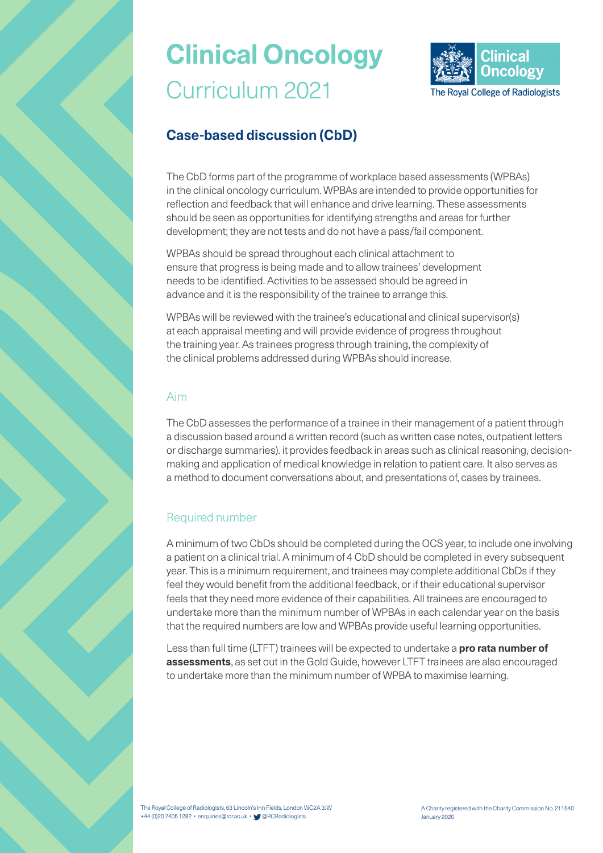# **Clinical Oncology** Curriculum 2021



### **Case-based discussion (CbD)**

The CbD forms part of the programme of workplace based assessments (WPBAs) in the clinical oncology curriculum. WPBAs are intended to provide opportunities for reflection and feedback that will enhance and drive learning. These assessments should be seen as opportunities for identifying strengths and areas for further development; they are not tests and do not have a pass/fail component.

WPBAs should be spread throughout each clinical attachment to ensure that progress is being made and to allow trainees' development needs to be identified. Activities to be assessed should be agreed in advance and it is the responsibility of the trainee to arrange this.

WPBAs will be reviewed with the trainee's educational and clinical supervisor(s) at each appraisal meeting and will provide evidence of progress throughout the training year. As trainees progress through training, the complexity of the clinical problems addressed during WPBAs should increase.

#### Aim

The CbD assesses the performance of a trainee in their management of a patient through a discussion based around a written record (such as written case notes, outpatient letters or discharge summaries). it provides feedback in areas such as clinical reasoning, decisionmaking and application of medical knowledge in relation to patient care. It also serves as a method to document conversations about, and presentations of, cases by trainees.

### Required number

A minimum of two CbDs should be completed during the OCS year, to include one involving a patient on a clinical trial. A minimum of 4 CbD should be completed in every subsequent year. This is a minimum requirement, and trainees may complete additional CbDs if they feel they would benefit from the additional feedback, or if their educational supervisor feels that they need more evidence of their capabilities. All trainees are encouraged to undertake more than the minimum number of WPBAs in each calendar year on the basis that the required numbers are low and WPBAs provide useful learning opportunities.

Less than full time (LTFT) trainees will be expected to undertake a **pro rata number of assessments**, as set out in the Gold Guide, however LTFT trainees are also encouraged to undertake more than the minimum number of WPBA to maximise learning.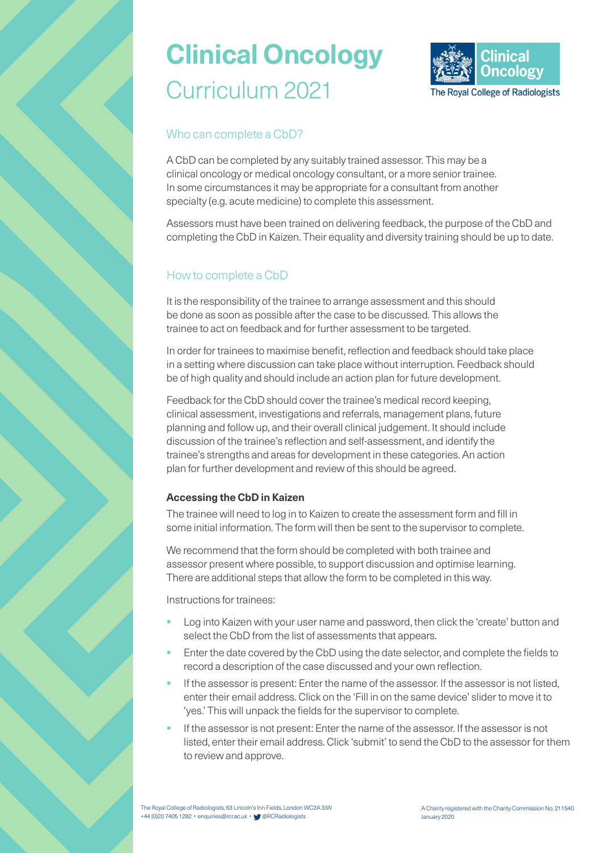## **Clinical Oncology** Curriculum 2021



### Who can complete a CbD?

A CbD can be completed by any suitably trained assessor. This may be a clinical oncology or medical oncology consultant, or a more senior trainee. In some circumstances it may be appropriate for a consultant from another specialty (e.g. acute medicine) to complete this assessment.

Assessors must have been trained on delivering feedback, the purpose of the CbD and completing the CbD in Kaizen. Their equality and diversity training should be up to date.

#### How to complete a CbD

It is the responsibility of the trainee to arrange assessment and this should be done as soon as possible after the case to be discussed. This allows the trainee to act on feedback and for further assessment to be targeted.

In order for trainees to maximise benefit, reflection and feedback should take place in a setting where discussion can take place without interruption. Feedback should be of high quality and should include an action plan for future development.

Feedback for the CbD should cover the trainee's medical record keeping, clinical assessment, investigations and referrals, management plans, future planning and follow up, and their overall clinical judgement. It should include discussion of the trainee's reflection and self-assessment, and identify the trainee's strengths and areas for development in these categories. An action plan for further development and review of this should be agreed.

#### **Accessing the CbD in Kaizen**

The trainee will need to log in to Kaizen to create the assessment form and fill in some initial information. The form will then be sent to the supervisor to complete.

We recommend that the form should be completed with both trainee and assessor present where possible, to support discussion and optimise learning. There are additional steps that allow the form to be completed in this way.

Instructions for trainees:

- Log into Kaizen with your user name and password, then click the 'create' button and select the CbD from the list of assessments that appears.
- Enter the date covered by the CbD using the date selector, and complete the fields to record a description of the case discussed and your own reflection.
- If the assessor is present: Enter the name of the assessor. If the assessor is not listed, enter their email address. Click on the 'Fill in on the same device' slider to move it to 'yes.' This will unpack the fields for the supervisor to complete.
- If the assessor is not present: Enter the name of the assessor. If the assessor is not listed, enter their email address. Click 'submit' to send the CbD to the assessor for them to review and approve.